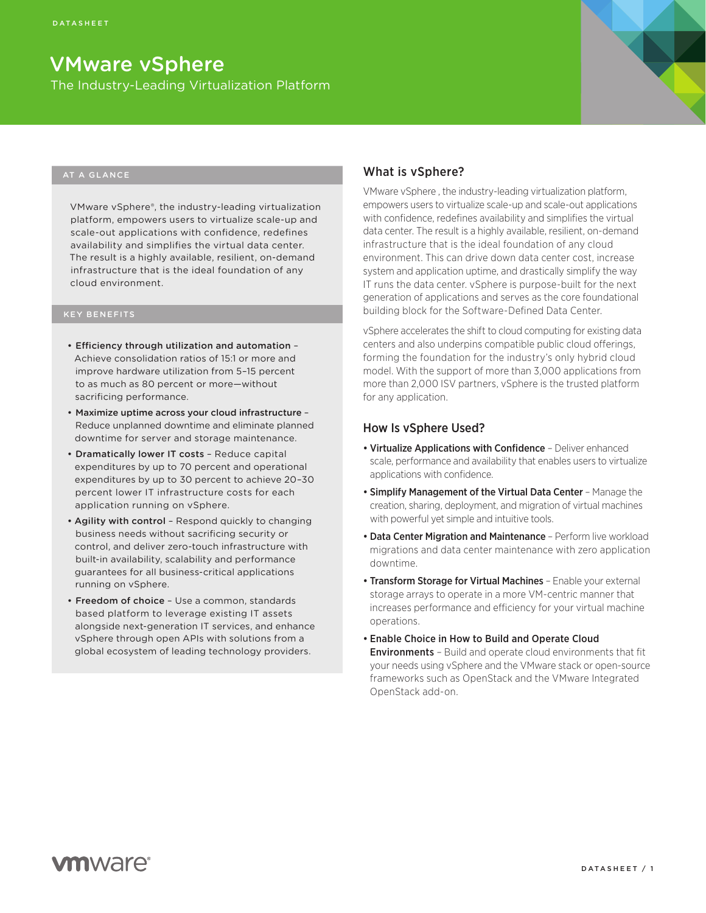# VMware vSphere

The Industry-Leading Virtualization Platform

#### AT A GLANCE

VMware vSphere®, the industry-leading virtualization platform, empowers users to virtualize scale-up and scale-out applications with confidence, redefines availability and simplifies the virtual data center. The result is a highly available, resilient, on-demand infrastructure that is the ideal foundation of any cloud environment.

#### KEY BENEFITS

- Efficiency through utilization and automation Achieve consolidation ratios of 15:1 or more and improve hardware utilization from 5–15 percent to as much as 80 percent or more—without sacrificing performance.
- Maximize uptime across your cloud infrastructure Reduce unplanned downtime and eliminate planned downtime for server and storage maintenance.
- Dramatically lower IT costs Reduce capital expenditures by up to 70 percent and operational expenditures by up to 30 percent to achieve 20–30 percent lower IT infrastructure costs for each application running on vSphere.
- Agility with control Respond quickly to changing business needs without sacrificing security or control, and deliver zero-touch infrastructure with built-in availability, scalability and performance guarantees for all business-critical applications running on vSphere.
- Freedom of choice Use a common, standards based platform to leverage existing IT assets alongside next-generation IT services, and enhance vSphere through open APIs with solutions from a global ecosystem of leading technology providers.

### What is vSphere?

VMware vSphere , the industry-leading virtualization platform, empowers users to virtualize scale-up and scale-out applications with confidence, redefines availability and simplifies the virtual data center. The result is a highly available, resilient, on-demand infrastructure that is the ideal foundation of any cloud environment. This can drive down data center cost, increase system and application uptime, and drastically simplify the way IT runs the data center. vSphere is purpose-built for the next generation of applications and serves as the core foundational building block for the Software-Defined Data Center.

vSphere accelerates the shift to cloud computing for existing data centers and also underpins compatible public cloud offerings, forming the foundation for the industry's only hybrid cloud model. With the support of more than 3,000 applications from more than 2,000 ISV partners, vSphere is the trusted platform for any application.

#### How Is vSphere Used?

- Virtualize Applications with Confidence Deliver enhanced scale, performance and availability that enables users to virtualize applications with confidence.
- Simplify Management of the Virtual Data Center Manage the creation, sharing, deployment, and migration of virtual machines with powerful yet simple and intuitive tools.
- Data Center Migration and Maintenance Perform live workload migrations and data center maintenance with zero application downtime.
- Transform Storage for Virtual Machines Enable your external storage arrays to operate in a more VM-centric manner that increases performance and efficiency for your virtual machine operations.
- Enable Choice in How to Build and Operate Cloud **Environments** – Build and operate cloud environments that fit your needs using vSphere and the VMware stack or open-source frameworks such as OpenStack and the VMware Integrated OpenStack add-on.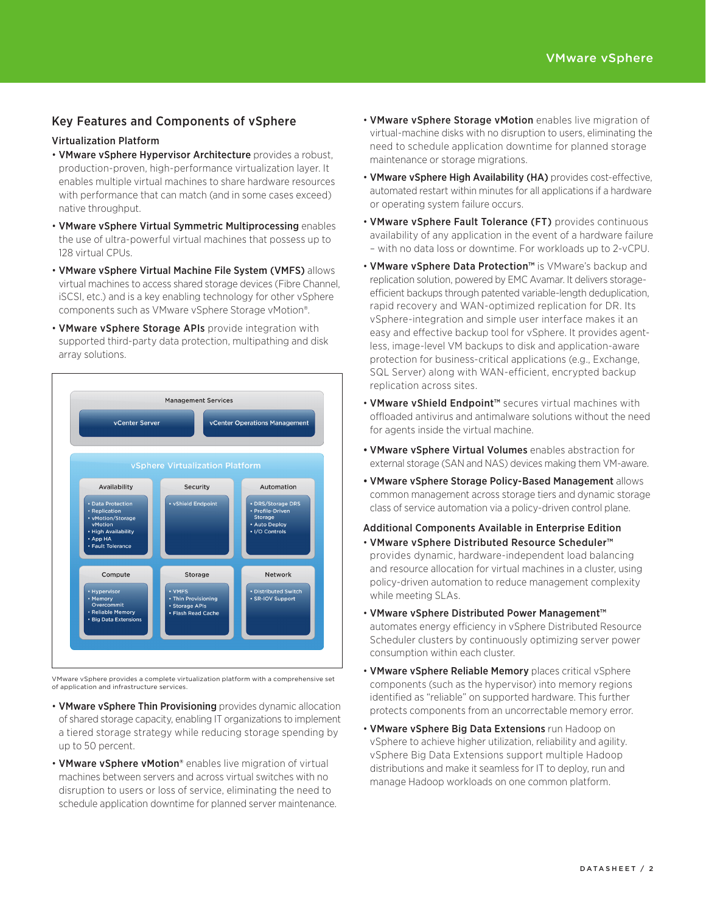## Key Features and Components of vSphere

#### Virtualization Platform

- VMware vSphere Hypervisor Architecture provides a robust, production-proven, high-performance virtualization layer. It enables multiple virtual machines to share hardware resources with performance that can match (and in some cases exceed) native throughput.
- VMware vSphere Virtual Symmetric Multiprocessing enables the use of ultra-powerful virtual machines that possess up to 128 virtual CPUs.
- VMware vSphere Virtual Machine File System (VMFS) allows virtual machines to access shared storage devices (Fibre Channel, iSCSI, etc.) and is a key enabling technology for other vSphere components such as VMware vSphere Storage vMotion®.
- VMware vSphere Storage APIs provide integration with supported third-party data protection, multipathing and disk array solutions.



VMware vSphere provides a complete virtualization platform with a comprehensive set of application and infrastructure services.

- VMware vSphere Thin Provisioning provides dynamic allocation of shared storage capacity, enabling IT organizations to implement a tiered storage strategy while reducing storage spending by up to 50 percent.
- VMware vSphere vMotion® enables live migration of virtual machines between servers and across virtual switches with no disruption to users or loss of service, eliminating the need to schedule application downtime for planned server maintenance.
- VMware vSphere Storage vMotion enables live migration of virtual-machine disks with no disruption to users, eliminating the need to schedule application downtime for planned storage maintenance or storage migrations.
- VMware vSphere High Availability (HA) provides cost-effective, automated restart within minutes for all applications if a hardware or operating system failure occurs.
- VMware vSphere Fault Tolerance (FT) provides continuous availability of any application in the event of a hardware failure – with no data loss or downtime. For workloads up to 2-vCPU.
- VMware vSphere Data Protection™ is VMware's backup and replication solution, powered by EMC Avamar. It delivers storageefficient backups through patented variable-length deduplication, rapid recovery and WAN-optimized replication for DR. Its vSphere-integration and simple user interface makes it an easy and effective backup tool for vSphere. It provides agentless, image-level VM backups to disk and application-aware protection for business-critical applications (e.g., Exchange, SQL Server) along with WAN-efficient, encrypted backup replication across sites.
- VMware vShield Endpoint™ secures virtual machines with offloaded antivirus and antimalware solutions without the need for agents inside the virtual machine.
- VMware vSphere Virtual Volumes enables abstraction for external storage (SAN and NAS) devices making them VM-aware.
- VMware vSphere Storage Policy-Based Management allows common management across storage tiers and dynamic storage class of service automation via a policy-driven control plane.

Additional Components Available in Enterprise Edition

- VMware vSphere Distributed Resource Scheduler™ provides dynamic, hardware-independent load balancing and resource allocation for virtual machines in a cluster, using policy-driven automation to reduce management complexity while meeting SLAs.
- VMware vSphere Distributed Power Management™ automates energy efficiency in vSphere Distributed Resource Scheduler clusters by continuously optimizing server power consumption within each cluster.
- VMware vSphere Reliable Memory places critical vSphere components (such as the hypervisor) into memory regions identified as "reliable" on supported hardware. This further protects components from an uncorrectable memory error.
- VMware vSphere Big Data Extensions run Hadoop on vSphere to achieve higher utilization, reliability and agility. vSphere Big Data Extensions support multiple Hadoop distributions and make it seamless for IT to deploy, run and manage Hadoop workloads on one common platform.